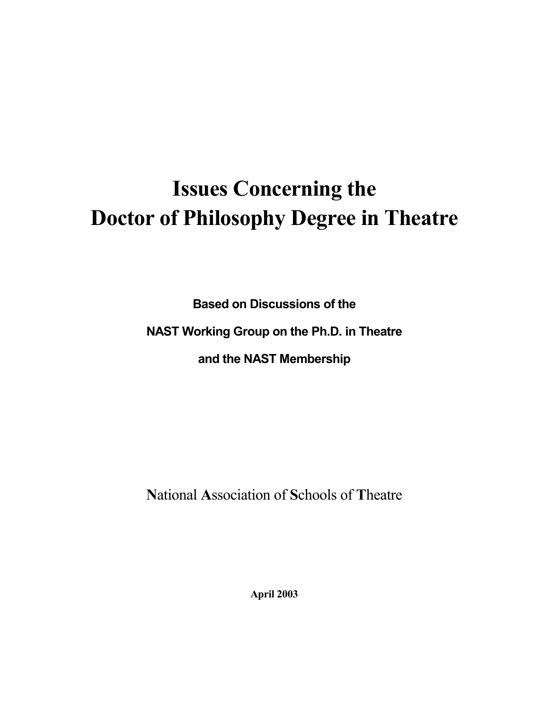# **Issues Concerning the Doctor of Philosophy Degree in Theatre**

**Based on Discussions of the** 

NAST Working Group on the Ph.D. in Theatre

and the NAST Membership

National Association of Schools of Theatre

**April 2003**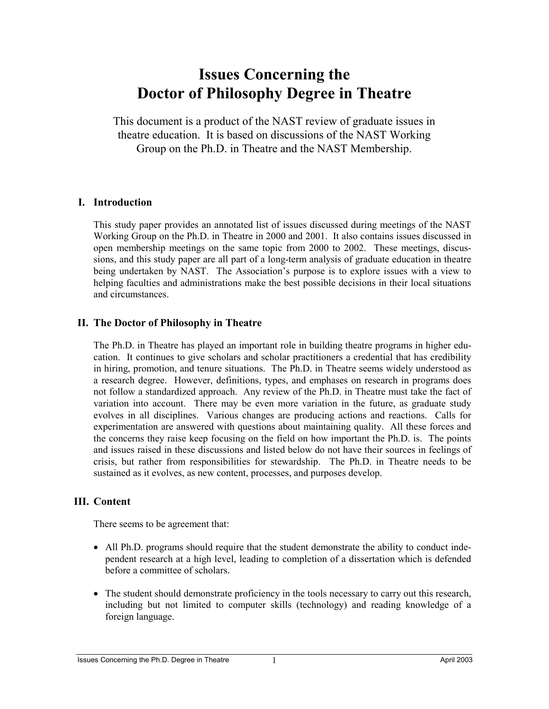# **Issues Concerning the Doctor of Philosophy Degree in Theatre**

This document is a product of the NAST review of graduate issues in theatre education. It is based on discussions of the NAST Working Group on the Ph.D. in Theatre and the NAST Membership.

# **I. Introduction**

This study paper provides an annotated list of issues discussed during meetings of the NAST Working Group on the Ph.D. in Theatre in 2000 and 2001. It also contains issues discussed in open membership meetings on the same topic from 2000 to 2002. These meetings, discussions, and this study paper are all part of a long-term analysis of graduate education in theatre being undertaken by NAST. The Association's purpose is to explore issues with a view to helping faculties and administrations make the best possible decisions in their local situations and circumstances.

# **II. The Doctor of Philosophy in Theatre**

The Ph.D. in Theatre has played an important role in building theatre programs in higher education. It continues to give scholars and scholar practitioners a credential that has credibility in hiring, promotion, and tenure situations. The Ph.D. in Theatre seems widely understood as a research degree. However, definitions, types, and emphases on research in programs does not follow a standardized approach. Any review of the Ph.D. in Theatre must take the fact of variation into account. There may be even more variation in the future, as graduate study evolves in all disciplines. Various changes are producing actions and reactions. Calls for experimentation are answered with questions about maintaining quality. All these forces and the concerns they raise keep focusing on the field on how important the Ph.D. is. The points and issues raised in these discussions and listed below do not have their sources in feelings of crisis, but rather from responsibilities for stewardship. The Ph.D. in Theatre needs to be sustained as it evolves, as new content, processes, and purposes develop.

#### **III. Content**

There seems to be agreement that:

- All Ph.D. programs should require that the student demonstrate the ability to conduct independent research at a high level, leading to completion of a dissertation which is defended before a committee of scholars.
- The student should demonstrate proficiency in the tools necessary to carry out this research, including but not limited to computer skills (technology) and reading knowledge of a foreign language.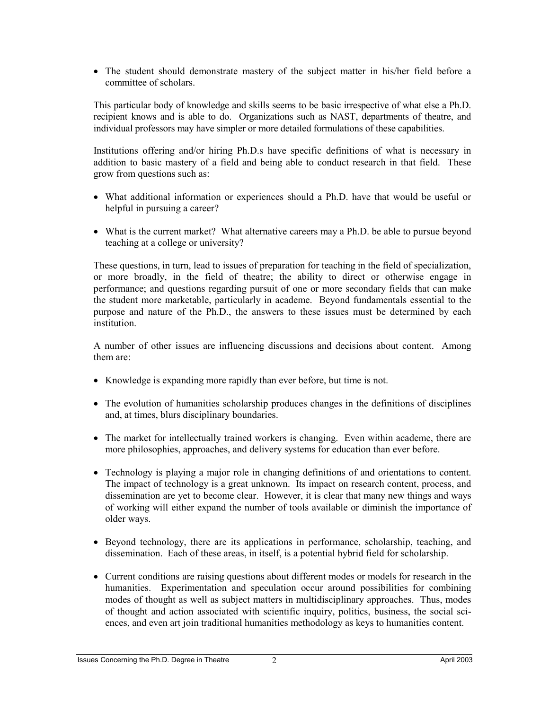• The student should demonstrate mastery of the subject matter in his/her field before a committee of scholars.

This particular body of knowledge and skills seems to be basic irrespective of what else a Ph.D. recipient knows and is able to do. Organizations such as NAST, departments of theatre, and individual professors may have simpler or more detailed formulations of these capabilities.

Institutions offering and/or hiring Ph.D.s have specific definitions of what is necessary in addition to basic mastery of a field and being able to conduct research in that field. These grow from questions such as:

- What additional information or experiences should a Ph.D. have that would be useful or helpful in pursuing a career?
- What is the current market? What alternative careers may a Ph.D. be able to pursue beyond teaching at a college or university?

These questions, in turn, lead to issues of preparation for teaching in the field of specialization, or more broadly, in the field of theatre; the ability to direct or otherwise engage in performance; and questions regarding pursuit of one or more secondary fields that can make the student more marketable, particularly in academe. Beyond fundamentals essential to the purpose and nature of the Ph.D., the answers to these issues must be determined by each institution.

A number of other issues are influencing discussions and decisions about content. Among them are:

- Knowledge is expanding more rapidly than ever before, but time is not.
- The evolution of humanities scholarship produces changes in the definitions of disciplines and, at times, blurs disciplinary boundaries.
- The market for intellectually trained workers is changing. Even within academe, there are more philosophies, approaches, and delivery systems for education than ever before.
- Technology is playing a major role in changing definitions of and orientations to content. The impact of technology is a great unknown. Its impact on research content, process, and dissemination are yet to become clear. However, it is clear that many new things and ways of working will either expand the number of tools available or diminish the importance of older ways.
- Beyond technology, there are its applications in performance, scholarship, teaching, and dissemination. Each of these areas, in itself, is a potential hybrid field for scholarship.
- Current conditions are raising questions about different modes or models for research in the humanities. Experimentation and speculation occur around possibilities for combining modes of thought as well as subject matters in multidisciplinary approaches. Thus, modes of thought and action associated with scientific inquiry, politics, business, the social sciences, and even art join traditional humanities methodology as keys to humanities content.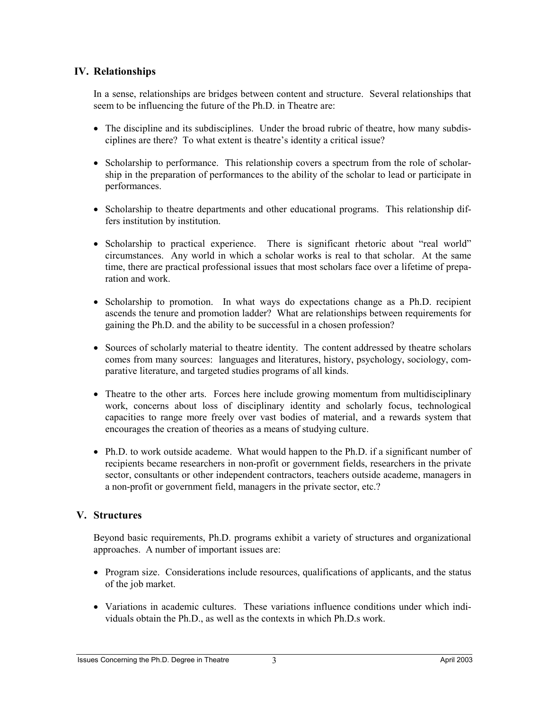# **IV. Relationships**

In a sense, relationships are bridges between content and structure. Several relationships that seem to be influencing the future of the Ph.D. in Theatre are:

- The discipline and its subdisciplines. Under the broad rubric of theatre, how many subdisciplines are there? To what extent is theatre's identity a critical issue?
- Scholarship to performance. This relationship covers a spectrum from the role of scholarship in the preparation of performances to the ability of the scholar to lead or participate in performances.
- Scholarship to theatre departments and other educational programs. This relationship differs institution by institution.
- Scholarship to practical experience. There is significant rhetoric about "real world" circumstances. Any world in which a scholar works is real to that scholar. At the same time, there are practical professional issues that most scholars face over a lifetime of preparation and work.
- Scholarship to promotion. In what ways do expectations change as a Ph.D. recipient ascends the tenure and promotion ladder? What are relationships between requirements for gaining the Ph.D. and the ability to be successful in a chosen profession?
- Sources of scholarly material to theatre identity. The content addressed by theatre scholars comes from many sources: languages and literatures, history, psychology, sociology, comparative literature, and targeted studies programs of all kinds.
- Theatre to the other arts. Forces here include growing momentum from multidisciplinary work, concerns about loss of disciplinary identity and scholarly focus, technological capacities to range more freely over vast bodies of material, and a rewards system that encourages the creation of theories as a means of studying culture.
- Ph.D. to work outside academe. What would happen to the Ph.D. if a significant number of recipients became researchers in non-profit or government fields, researchers in the private sector, consultants or other independent contractors, teachers outside academe, managers in a non-profit or government field, managers in the private sector, etc.?

# **V. Structures**

Beyond basic requirements, Ph.D. programs exhibit a variety of structures and organizational approaches. A number of important issues are:

- Program size. Considerations include resources, qualifications of applicants, and the status of the job market.
- Variations in academic cultures. These variations influence conditions under which individuals obtain the Ph.D., as well as the contexts in which Ph.D.s work.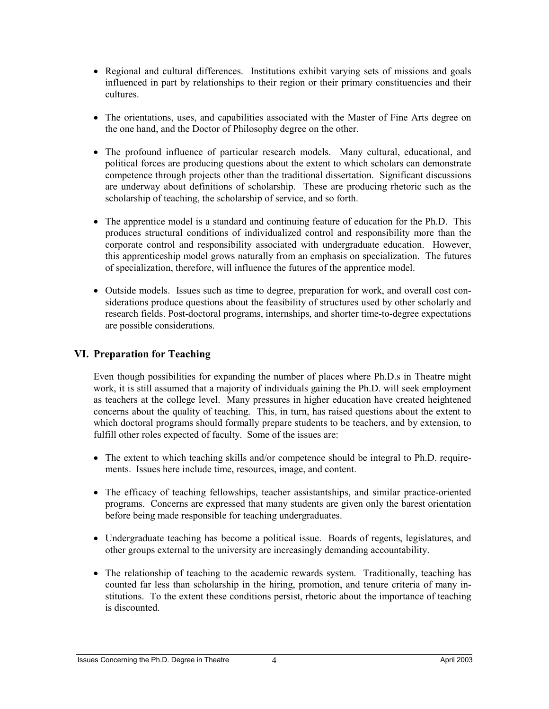- Regional and cultural differences. Institutions exhibit varying sets of missions and goals influenced in part by relationships to their region or their primary constituencies and their cultures.
- The orientations, uses, and capabilities associated with the Master of Fine Arts degree on the one hand, and the Doctor of Philosophy degree on the other.
- The profound influence of particular research models. Many cultural, educational, and political forces are producing questions about the extent to which scholars can demonstrate competence through projects other than the traditional dissertation. Significant discussions are underway about definitions of scholarship. These are producing rhetoric such as the scholarship of teaching, the scholarship of service, and so forth.
- The apprentice model is a standard and continuing feature of education for the Ph.D. This produces structural conditions of individualized control and responsibility more than the corporate control and responsibility associated with undergraduate education. However, this apprenticeship model grows naturally from an emphasis on specialization. The futures of specialization, therefore, will influence the futures of the apprentice model.
- Outside models. Issues such as time to degree, preparation for work, and overall cost considerations produce questions about the feasibility of structures used by other scholarly and research fields. Post-doctoral programs, internships, and shorter time-to-degree expectations are possible considerations.

# **VI. Preparation for Teaching**

Even though possibilities for expanding the number of places where Ph.D.s in Theatre might work, it is still assumed that a majority of individuals gaining the Ph.D. will seek employment as teachers at the college level. Many pressures in higher education have created heightened concerns about the quality of teaching. This, in turn, has raised questions about the extent to which doctoral programs should formally prepare students to be teachers, and by extension, to fulfill other roles expected of faculty. Some of the issues are:

- The extent to which teaching skills and/or competence should be integral to Ph.D. requirements. Issues here include time, resources, image, and content.
- The efficacy of teaching fellowships, teacher assistantships, and similar practice-oriented programs. Concerns are expressed that many students are given only the barest orientation before being made responsible for teaching undergraduates.
- Undergraduate teaching has become a political issue. Boards of regents, legislatures, and other groups external to the university are increasingly demanding accountability.
- The relationship of teaching to the academic rewards system. Traditionally, teaching has counted far less than scholarship in the hiring, promotion, and tenure criteria of many institutions. To the extent these conditions persist, rhetoric about the importance of teaching is discounted.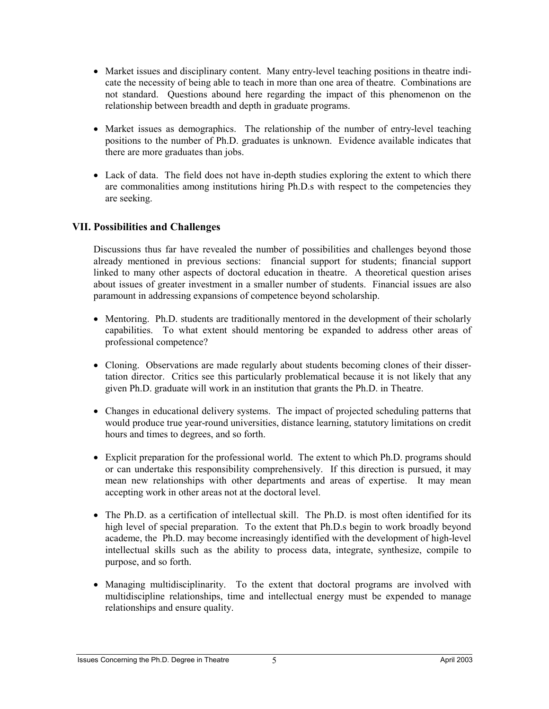- Market issues and disciplinary content. Many entry-level teaching positions in theatre indicate the necessity of being able to teach in more than one area of theatre. Combinations are not standard. Questions abound here regarding the impact of this phenomenon on the relationship between breadth and depth in graduate programs.
- Market issues as demographics. The relationship of the number of entry-level teaching positions to the number of Ph.D. graduates is unknown. Evidence available indicates that there are more graduates than jobs.
- Lack of data. The field does not have in-depth studies exploring the extent to which there are commonalities among institutions hiring Ph.D.s with respect to the competencies they are seeking.

# **VII. Possibilities and Challenges**

Discussions thus far have revealed the number of possibilities and challenges beyond those already mentioned in previous sections: financial support for students; financial support linked to many other aspects of doctoral education in theatre. A theoretical question arises about issues of greater investment in a smaller number of students. Financial issues are also paramount in addressing expansions of competence beyond scholarship.

- Mentoring. Ph.D. students are traditionally mentored in the development of their scholarly capabilities. To what extent should mentoring be expanded to address other areas of professional competence?
- Cloning. Observations are made regularly about students becoming clones of their dissertation director. Critics see this particularly problematical because it is not likely that any given Ph.D. graduate will work in an institution that grants the Ph.D. in Theatre.
- Changes in educational delivery systems. The impact of projected scheduling patterns that would produce true year-round universities, distance learning, statutory limitations on credit hours and times to degrees, and so forth.
- Explicit preparation for the professional world. The extent to which Ph.D. programs should or can undertake this responsibility comprehensively. If this direction is pursued, it may mean new relationships with other departments and areas of expertise. It may mean accepting work in other areas not at the doctoral level.
- The Ph.D. as a certification of intellectual skill. The Ph.D. is most often identified for its high level of special preparation. To the extent that Ph.D.s begin to work broadly beyond academe, the Ph.D. may become increasingly identified with the development of high-level intellectual skills such as the ability to process data, integrate, synthesize, compile to purpose, and so forth.
- Managing multidisciplinarity. To the extent that doctoral programs are involved with multidiscipline relationships, time and intellectual energy must be expended to manage relationships and ensure quality.